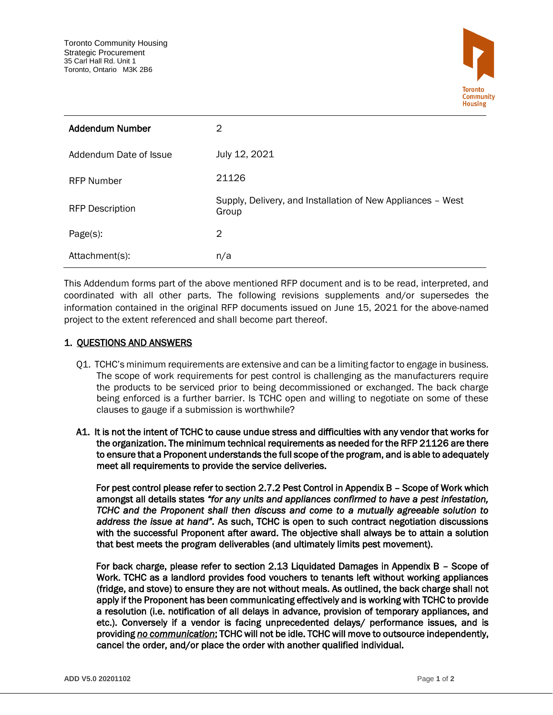

| <b>Addendum Number</b> | 2                                                                    |
|------------------------|----------------------------------------------------------------------|
| Addendum Date of Issue | July 12, 2021                                                        |
| <b>RFP Number</b>      | 21126                                                                |
| <b>RFP Description</b> | Supply, Delivery, and Installation of New Appliances - West<br>Group |
| Page(s):               | 2                                                                    |
| Attachment(s):         | n/a                                                                  |

This Addendum forms part of the above mentioned RFP document and is to be read, interpreted, and coordinated with all other parts. The following revisions supplements and/or supersedes the information contained in the original RFP documents issued on June 15, 2021 for the above-named project to the extent referenced and shall become part thereof.

## 1. QUESTIONS AND ANSWERS

- Q1. TCHC's minimum requirements are extensive and can be a limiting factor to engage in business. The scope of work requirements for pest control is challenging as the manufacturers require the products to be serviced prior to being decommissioned or exchanged. The back charge being enforced is a further barrier. Is TCHC open and willing to negotiate on some of these clauses to gauge if a submission is worthwhile?
- A1. It is not the intent of TCHC to cause undue stress and difficulties with any vendor that works for the organization. The minimum technical requirements as needed for the RFP 21126 are there to ensure that a Proponent understands the full scope of the program, and is able to adequately meet all requirements to provide the service deliveries.

 For pest control please refer to section 2.7.2 Pest Control in Appendix B – Scope of Work which amongst all details states *"for any units and appliances confirmed to have a pest infestation, TCHC and the Proponent shall then discuss and come to a mutually agreeable solution to address the issue at hand".* As such, TCHC is open to such contract negotiation discussions with the successful Proponent after award. The objective shall always be to attain a solution that best meets the program deliverables (and ultimately limits pest movement).

 For back charge, please refer to section 2.13 Liquidated Damages in Appendix B – Scope of Work. TCHC as a landlord provides food vouchers to tenants left without working appliances (fridge, and stove) to ensure they are not without meals. As outlined, the back charge shall not apply if the Proponent has been communicating effectively and is working with TCHC to provide a resolution (i.e. notification of all delays in advance, provision of temporary appliances, and etc.). Conversely if a vendor is facing unprecedented delays/ performance issues, and is providing *no communication*; TCHC will not be idle. TCHC will move to outsource independently, cancel the order, and/or place the order with another qualified individual.